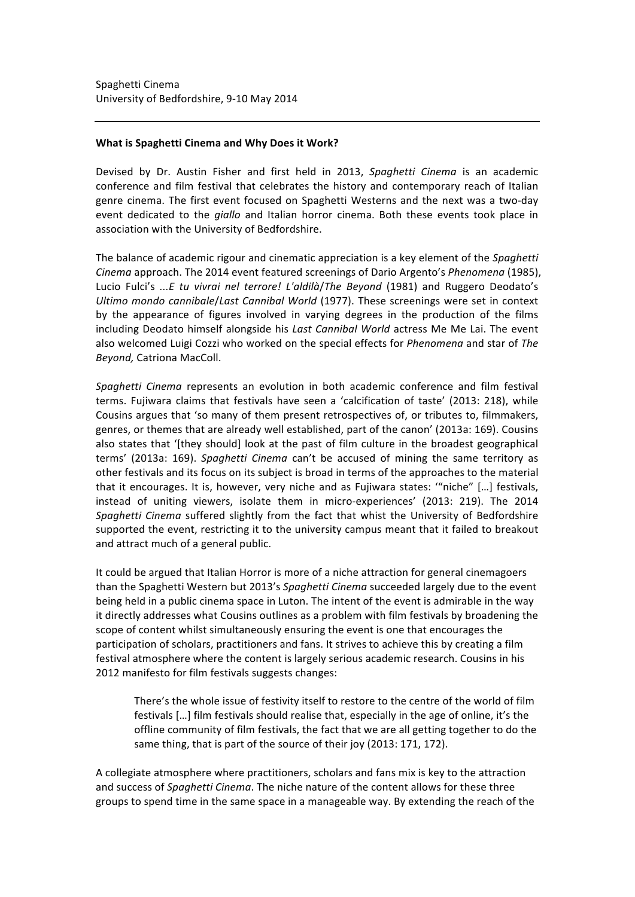## **What is Spaghetti Cinema and Why Does it Work?**

Devised by Dr. Austin Fisher and first held in 2013, Spaghetti Cinema is an academic conference and film festival that celebrates the history and contemporary reach of Italian genre cinema. The first event focused on Spaghetti Westerns and the next was a two-day event dedicated to the *giallo* and Italian horror cinema. Both these events took place in association with the University of Bedfordshire.

The balance of academic rigour and cinematic appreciation is a key element of the *Spaghetti Cinema* approach. The 2014 event featured screenings of Dario Argento's *Phenomena* (1985), Lucio Fulci's ...E tu vivrai nel terrore! L'aldilà/*The Bevond* (1981) and Ruggero Deodato's *Ultimo mondo cannibale/Last Cannibal World* (1977). These screenings were set in context by the appearance of figures involved in varying degrees in the production of the films including Deodato himself alongside his *Last Cannibal World* actress Me Me Lai. The event also welcomed Luigi Cozzi who worked on the special effects for *Phenomena* and star of *The Beyond,* Catriona MacColl.

Spaghetti Cinema represents an evolution in both academic conference and film festival terms. Fujiwara claims that festivals have seen a 'calcification of taste' (2013: 218), while Cousins argues that 'so many of them present retrospectives of, or tributes to, filmmakers, genres, or themes that are already well established, part of the canon' (2013a: 169). Cousins also states that '[they should] look at the past of film culture in the broadest geographical terms' (2013a: 169). *Spaghetti Cinema* can't be accused of mining the same territory as other festivals and its focus on its subject is broad in terms of the approaches to the material that it encourages. It is, however, very niche and as Fujiwara states: "niche" [...] festivals, instead of uniting viewers, isolate them in micro-experiences' (2013: 219). The 2014 Spaghetti Cinema suffered slightly from the fact that whist the University of Bedfordshire supported the event, restricting it to the university campus meant that it failed to breakout and attract much of a general public.

It could be argued that Italian Horror is more of a niche attraction for general cinemagoers than the Spaghetti Western but 2013's Spaghetti Cinema succeeded largely due to the event being held in a public cinema space in Luton. The intent of the event is admirable in the way it directly addresses what Cousins outlines as a problem with film festivals by broadening the scope of content whilst simultaneously ensuring the event is one that encourages the participation of scholars, practitioners and fans. It strives to achieve this by creating a film festival atmosphere where the content is largely serious academic research. Cousins in his 2012 manifesto for film festivals suggests changes:

There's the whole issue of festivity itself to restore to the centre of the world of film festivals [...] film festivals should realise that, especially in the age of online, it's the offline community of film festivals, the fact that we are all getting together to do the same thing, that is part of the source of their joy (2013: 171, 172).

A collegiate atmosphere where practitioners, scholars and fans mix is key to the attraction and success of *Spaghetti Cinema*. The niche nature of the content allows for these three groups to spend time in the same space in a manageable way. By extending the reach of the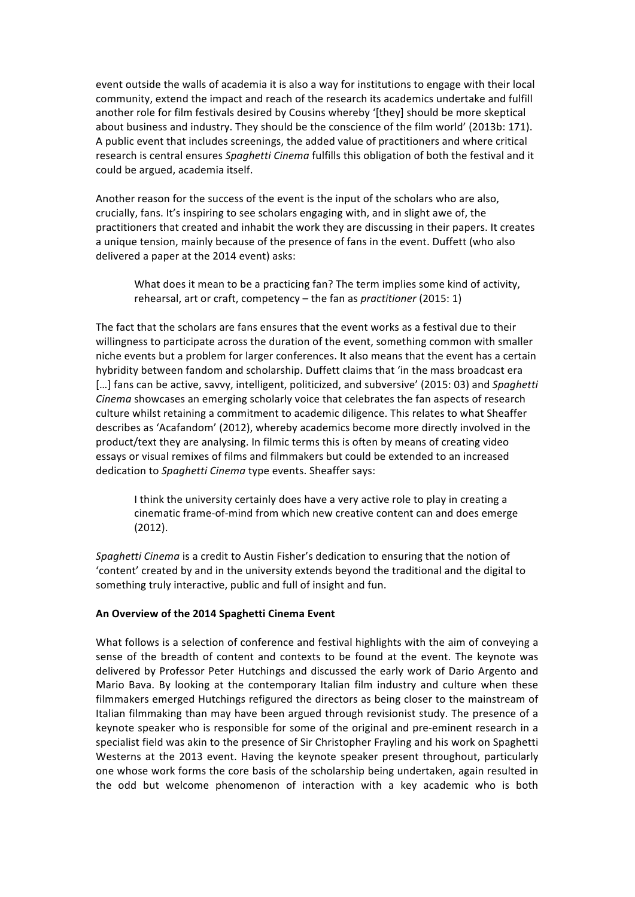event outside the walls of academia it is also a way for institutions to engage with their local community, extend the impact and reach of the research its academics undertake and fulfill another role for film festivals desired by Cousins whereby '[they] should be more skeptical about business and industry. They should be the conscience of the film world' (2013b: 171). A public event that includes screenings, the added value of practitioners and where critical research is central ensures *Spaghetti Cinema* fulfills this obligation of both the festival and it could be argued, academia itself.

Another reason for the success of the event is the input of the scholars who are also, crucially, fans. It's inspiring to see scholars engaging with, and in slight awe of, the practitioners that created and inhabit the work they are discussing in their papers. It creates a unique tension, mainly because of the presence of fans in the event. Duffett (who also delivered a paper at the 2014 event) asks:

What does it mean to be a practicing fan? The term implies some kind of activity, rehearsal, art or craft, competency – the fan as *practitioner* (2015: 1)

The fact that the scholars are fans ensures that the event works as a festival due to their willingness to participate across the duration of the event, something common with smaller niche events but a problem for larger conferences. It also means that the event has a certain hybridity between fandom and scholarship. Duffett claims that 'in the mass broadcast era [...] fans can be active, savvy, intelligent, politicized, and subversive' (2015: 03) and *Spaghetti Cinema* showcases an emerging scholarly voice that celebrates the fan aspects of research culture whilst retaining a commitment to academic diligence. This relates to what Sheaffer describes as 'Acafandom' (2012), whereby academics become more directly involved in the product/text they are analysing. In filmic terms this is often by means of creating video essays or visual remixes of films and filmmakers but could be extended to an increased dedication to *Spaghetti Cinema* type events. Sheaffer says:

I think the university certainly does have a very active role to play in creating a cinematic frame-of-mind from which new creative content can and does emerge (2012).

*Spaghetti Cinema* is a credit to Austin Fisher's dedication to ensuring that the notion of 'content' created by and in the university extends beyond the traditional and the digital to something truly interactive, public and full of insight and fun.

## An Overview of the 2014 Spaghetti Cinema Event

What follows is a selection of conference and festival highlights with the aim of conveying a sense of the breadth of content and contexts to be found at the event. The keynote was delivered by Professor Peter Hutchings and discussed the early work of Dario Argento and Mario Bava. By looking at the contemporary Italian film industry and culture when these filmmakers emerged Hutchings refigured the directors as being closer to the mainstream of Italian filmmaking than may have been argued through revisionist study. The presence of a keynote speaker who is responsible for some of the original and pre-eminent research in a specialist field was akin to the presence of Sir Christopher Frayling and his work on Spaghetti Westerns at the 2013 event. Having the keynote speaker present throughout, particularly one whose work forms the core basis of the scholarship being undertaken, again resulted in the odd but welcome phenomenon of interaction with a key academic who is both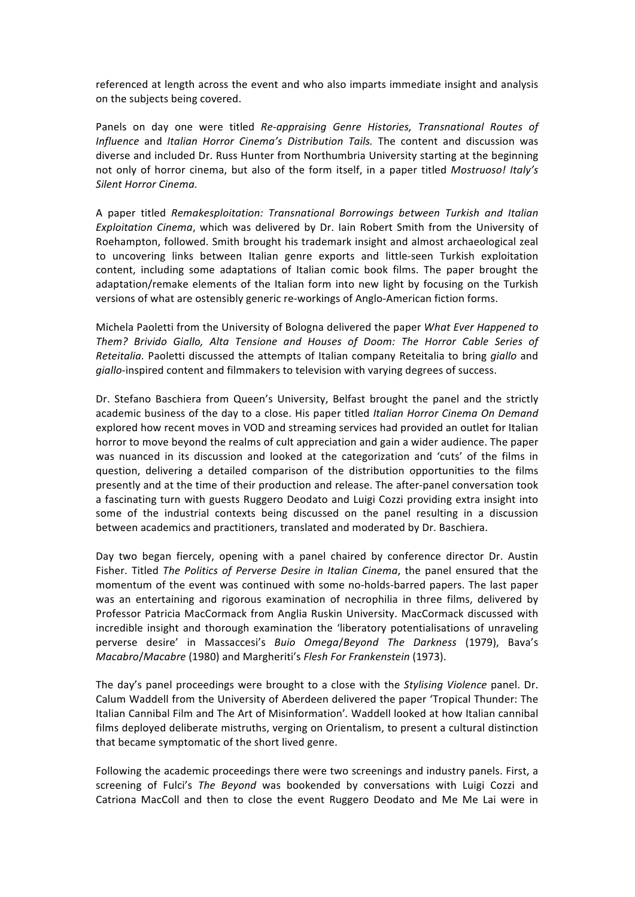referenced at length across the event and who also imparts immediate insight and analysis on the subjects being covered.

Panels on day one were titled *Re-appraising Genre Histories, Transnational Routes of Influence* and *Italian Horror Cinema's Distribution Tails*. The content and discussion was diverse and included Dr. Russ Hunter from Northumbria University starting at the beginning not only of horror cinema, but also of the form itself, in a paper titled *Mostruoso! Italy's* **Silent Horror Cinema.** 

A paper titled *Remakesploitation: Transnational Borrowings between Turkish and Italian Exploitation Cinema*, which was delivered by Dr. Iain Robert Smith from the University of Roehampton, followed. Smith brought his trademark insight and almost archaeological zeal to uncovering links between Italian genre exports and little-seen Turkish exploitation content, including some adaptations of Italian comic book films. The paper brought the adaptation/remake elements of the Italian form into new light by focusing on the Turkish versions of what are ostensibly generic re-workings of Anglo-American fiction forms.

Michela Paoletti from the University of Bologna delivered the paper *What Ever Happened to* Them? Brivido Giallo, Alta Tensione and Houses of Doom: The Horror Cable Series of *Reteitalia.* Paoletti discussed the attempts of Italian company Reteitalia to bring *giallo* and *giallo*-inspired content and filmmakers to television with varying degrees of success.

Dr. Stefano Baschiera from Queen's University, Belfast brought the panel and the strictly academic business of the day to a close. His paper titled Italian Horror Cinema On Demand explored how recent moves in VOD and streaming services had provided an outlet for Italian horror to move beyond the realms of cult appreciation and gain a wider audience. The paper was nuanced in its discussion and looked at the categorization and 'cuts' of the films in question, delivering a detailed comparison of the distribution opportunities to the films presently and at the time of their production and release. The after-panel conversation took a fascinating turn with guests Ruggero Deodato and Luigi Cozzi providing extra insight into some of the industrial contexts being discussed on the panel resulting in a discussion between academics and practitioners, translated and moderated by Dr. Baschiera.

Day two began fiercely, opening with a panel chaired by conference director Dr. Austin Fisher. Titled *The Politics of Perverse Desire in Italian Cinema*, the panel ensured that the momentum of the event was continued with some no-holds-barred papers. The last paper was an entertaining and rigorous examination of necrophilia in three films, delivered by Professor Patricia MacCormack from Anglia Ruskin University. MacCormack discussed with incredible insight and thorough examination the 'liberatory potentialisations of unraveling perverse desire' in Massaccesi's *Buio Omega*/*Beyond The Darkness*  (1979), Bava's *Macabro*/*Macabre* (1980) and Margheriti's *Flesh For Frankenstein* (1973).

The day's panel proceedings were brought to a close with the *Stylising Violence* panel. Dr. Calum Waddell from the University of Aberdeen delivered the paper 'Tropical Thunder: The Italian Cannibal Film and The Art of Misinformation'. Waddell looked at how Italian cannibal films deployed deliberate mistruths, verging on Orientalism, to present a cultural distinction that became symptomatic of the short lived genre.

Following the academic proceedings there were two screenings and industry panels. First, a screening of Fulci's The Beyond was bookended by conversations with Luigi Cozzi and Catriona MacColl and then to close the event Ruggero Deodato and Me Me Lai were in